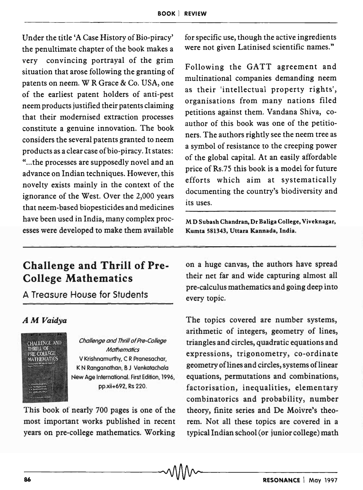Under the title 'A Case History of Bio-piracy' the penultimate chapter of the book makes a very convincing portrayal of the grim situation that arose following the granting of patents on neem. W R Grace & Co. USA, one of the earliest patent holders of anti-pest neem products justified their patents claiming that their modernised extraction processes constitute a genuine innovation. The book considers the several patents granted to neem products as a clear case of bio-piracy. It states: " ... the processes are supposedly novel and an advance on Indian techniques. However, this novelty exists mainly in the context of the ignorance of the West. Over the 2,000 years that neem-based biopesticides and medicines have been used in India, many complex processes were developed to make them available

## Challenge and Thrill of Pre-College Mathematics

A Treasure House for Students

## *AM Vaidya*



Challenge and Thrill of Pre-College **Mathematics** V Krishnamurthy, C R Pranesachar, K N Ranganathan, B J Venkatachala New Age International. First Edition, 1996, pp.xii+692, Rs 220.

This book of nearly 700 pages is one of the most important works published in recent years on pre-college mathematics. Working for specific use, though the active ingredients were not given Latinised scientific names."

Following the GATT agreement and multinational companies demanding neem as their 'intellectual property rights', organisations from many nations filed petitions against them. Vandana Shiva, coauthor of this book was one of the petitioners. The authors rightly see the neem tree as a symbol of resistance to the creeping power of the global capital. At an easily affordable price of Rs.7S this book is a model for future efforts which aim at systematically documenting the country's biodiversity and its uses.

M D Subash Chandran, Dr Baliga College, Vjveknagar, Kumta 581343, Uttara Kannada, India.

on a huge canvas, the authors have spread their net far and wide capturing almost all pre-calculus mathematics and going deep into every topic.

The topics covered are number systems, arithmetic of integers, geometry of lines, triangles and circles, quadratic equations and expressions, trigonometry, co-ordinate geometry oflines and circles, systems oflinear equations, permutations and combinations, factorisation, inequalities, elementary combinatorics and probability, number theory, finite series and De Moivre's theorem. Not all these topics are covered in a typical Indian school (or junior college) math